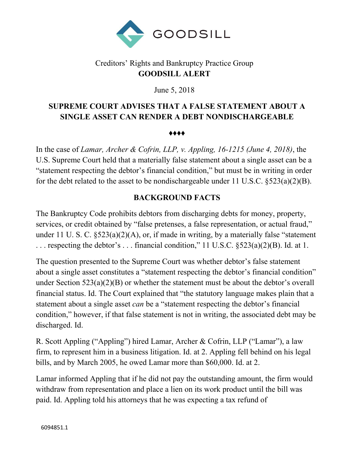

## Creditors' Rights and Bankruptcy Practice Group **GOODSILL ALERT**

June 5, 2018

# **SUPREME COURT ADVISES THAT A FALSE STATEMENT ABOUT A SINGLE ASSET CAN RENDER A DEBT NONDISCHARGEABLE**

♦♦♦♦

In the case of *Lamar, Archer & Cofrin, LLP, v. Appling, 16-1215 (June 4, 2018)*, the U.S. Supreme Court held that a materially false statement about a single asset can be a "statement respecting the debtor's financial condition," but must be in writing in order for the debt related to the asset to be nondischargeable under 11 U.S.C. §523(a)(2)(B).

### **BACKGROUND FACTS**

The Bankruptcy Code prohibits debtors from discharging debts for money, property, services, or credit obtained by "false pretenses, a false representation, or actual fraud," under 11 U. S. C. §523(a)(2)(A), or, if made in writing, by a materially false "statement . . . respecting the debtor's . . . financial condition," 11 U.S.C. §523(a)(2)(B). Id. at 1.

The question presented to the Supreme Court was whether debtor's false statement about a single asset constitutes a "statement respecting the debtor's financial condition" under Section 523(a)(2)(B) or whether the statement must be about the debtor's overall financial status. Id. The Court explained that "the statutory language makes plain that a statement about a single asset *can* be a "statement respecting the debtor's financial condition," however, if that false statement is not in writing, the associated debt may be discharged. Id.

R. Scott Appling ("Appling") hired Lamar, Archer & Cofrin, LLP ("Lamar"), a law firm, to represent him in a business litigation. Id. at 2. Appling fell behind on his legal bills, and by March 2005, he owed Lamar more than \$60,000. Id. at 2.

Lamar informed Appling that if he did not pay the outstanding amount, the firm would withdraw from representation and place a lien on its work product until the bill was paid. Id. Appling told his attorneys that he was expecting a tax refund of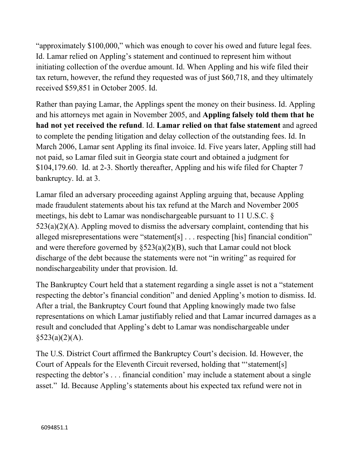"approximately \$100,000," which was enough to cover his owed and future legal fees. Id. Lamar relied on Appling's statement and continued to represent him without initiating collection of the overdue amount. Id. When Appling and his wife filed their tax return, however, the refund they requested was of just \$60,718, and they ultimately received \$59,851 in October 2005. Id.

Rather than paying Lamar, the Applings spent the money on their business. Id. Appling and his attorneys met again in November 2005, and **Appling falsely told them that he had not yet received the refund**. Id. **Lamar relied on that false statement** and agreed to complete the pending litigation and delay collection of the outstanding fees. Id. In March 2006, Lamar sent Appling its final invoice. Id. Five years later, Appling still had not paid, so Lamar filed suit in Georgia state court and obtained a judgment for \$104,179.60. Id. at 2-3. Shortly thereafter, Appling and his wife filed for Chapter 7 bankruptcy. Id. at 3.

Lamar filed an adversary proceeding against Appling arguing that, because Appling made fraudulent statements about his tax refund at the March and November 2005 meetings, his debt to Lamar was nondischargeable pursuant to 11 U.S.C. §  $523(a)(2)(A)$ . Appling moved to dismiss the adversary complaint, contending that his alleged misrepresentations were "statement[s] . . . respecting [his] financial condition" and were therefore governed by  $\S 523(a)(2)(B)$ , such that Lamar could not block discharge of the debt because the statements were not "in writing" as required for nondischargeability under that provision. Id.

The Bankruptcy Court held that a statement regarding a single asset is not a "statement respecting the debtor's financial condition" and denied Appling's motion to dismiss. Id. After a trial, the Bankruptcy Court found that Appling knowingly made two false representations on which Lamar justifiably relied and that Lamar incurred damages as a result and concluded that Appling's debt to Lamar was nondischargeable under  $§523(a)(2)(A).$ 

The U.S. District Court affirmed the Bankruptcy Court's decision. Id. However, the Court of Appeals for the Eleventh Circuit reversed, holding that "'statement[s] respecting the debtor's . . . financial condition' may include a statement about a single asset." Id. Because Appling's statements about his expected tax refund were not in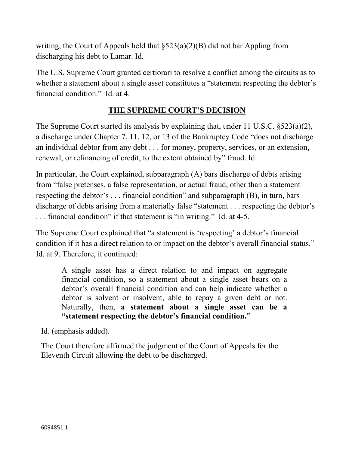writing, the Court of Appeals held that §523(a)(2)(B) did not bar Appling from discharging his debt to Lamar. Id.

The U.S. Supreme Court granted certiorari to resolve a conflict among the circuits as to whether a statement about a single asset constitutes a "statement respecting the debtor's financial condition." Id. at 4.

## **THE SUPREME COURT'S DECISION**

The Supreme Court started its analysis by explaining that, under 11 U.S.C. §523(a)(2), a discharge under Chapter 7, 11, 12, or 13 of the Bankruptcy Code "does not discharge an individual debtor from any debt . . . for money, property, services, or an extension, renewal, or refinancing of credit, to the extent obtained by" fraud. Id.

In particular, the Court explained, subparagraph (A) bars discharge of debts arising from "false pretenses, a false representation, or actual fraud, other than a statement respecting the debtor's . . . financial condition" and subparagraph (B), in turn, bars discharge of debts arising from a materially false "statement . . . respecting the debtor's . . . financial condition" if that statement is "in writing." Id. at 4-5.

The Supreme Court explained that "a statement is 'respecting' a debtor's financial condition if it has a direct relation to or impact on the debtor's overall financial status." Id. at 9. Therefore, it continued:

A single asset has a direct relation to and impact on aggregate financial condition, so a statement about a single asset bears on a debtor's overall financial condition and can help indicate whether a debtor is solvent or insolvent, able to repay a given debt or not. Naturally, then, **a statement about a single asset can be a "statement respecting the debtor's financial condition.**"

Id. (emphasis added).

The Court therefore affirmed the judgment of the Court of Appeals for the Eleventh Circuit allowing the debt to be discharged.